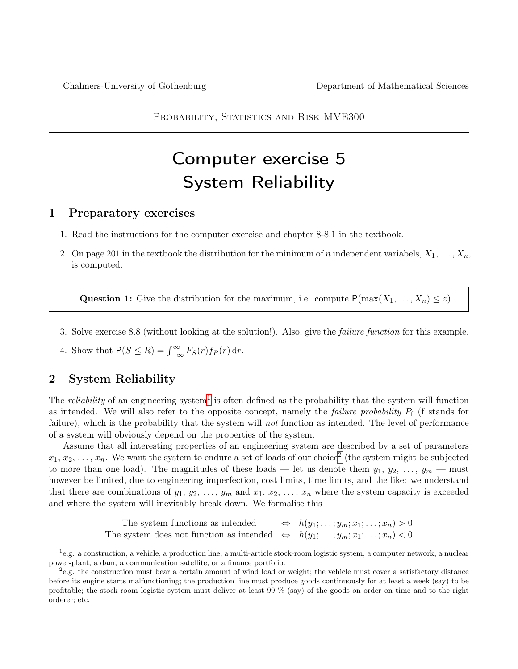PROBABILITY, STATISTICS AND RISK MVE300

# Computer exercise 5 System Reliability

## 1 Preparatory exercises

- 1. Read the instructions for the computer exercise and chapter 8-8.1 in the textbook.
- 2. On page 201 in the textbook the distribution for the minimum of n independent variabels,  $X_1, \ldots, X_n$ , is computed.

Question 1: Give the distribution for the maximum, i.e. compute  $P(\max(X_1, ..., X_n) \leq z)$ .

- 3. Solve exercise 8.8 (without looking at the solution!). Also, give the failure function for this example.
- 4. Show that  $P(S \leq R) = \int_{-\infty}^{\infty} F_S(r) f_R(r) dr$ .

## 2 System Reliability

The *reliability* of an engineering system<sup>[1](#page-0-0)</sup> is often defined as the probability that the system will function as intended. We will also refer to the opposite concept, namely the *failure probability*  $P_f$  (f stands for failure), which is the probability that the system will not function as intended. The level of performance of a system will obviously depend on the properties of the system.

Assume that all interesting properties of an engineering system are described by a set of parameters  $x_1, x_2, \ldots, x_n$  $x_1, x_2, \ldots, x_n$  $x_1, x_2, \ldots, x_n$ . We want the system to endure a set of loads of our choice<sup>2</sup> (the system might be subjected to more than one load). The magnitudes of these loads — let us denote them  $y_1, y_2, \ldots, y_m$  — must however be limited, due to engineering imperfection, cost limits, time limits, and the like: we understand that there are combinations of  $y_1, y_2, \ldots, y_m$  and  $x_1, x_2, \ldots, x_n$  where the system capacity is exceeded and where the system will inevitably break down. We formalise this

| The system functions as intended                                                                | $\Leftrightarrow h(y_1;\ldots;y_m;x_1;\ldots;x_n)>0$ |
|-------------------------------------------------------------------------------------------------|------------------------------------------------------|
| The system does not function as intended $\Leftrightarrow h(y_1;\ldots;y_m;x_1;\ldots;x_n) < 0$ |                                                      |

<span id="page-0-0"></span><sup>&</sup>lt;sup>1</sup>e.g. a construction, a vehicle, a production line, a multi-article stock-room logistic system, a computer network, a nuclear power-plant, a dam, a communication satellite, or a finance portfolio.

<span id="page-0-1"></span><sup>&</sup>lt;sup>2</sup>e.g. the construction must bear a certain amount of wind load or weight; the vehicle must cover a satisfactory distance before its engine starts malfunctioning; the production line must produce goods continuously for at least a week (say) to be profitable; the stock-room logistic system must deliver at least 99 % (say) of the goods on order on time and to the right orderer; etc.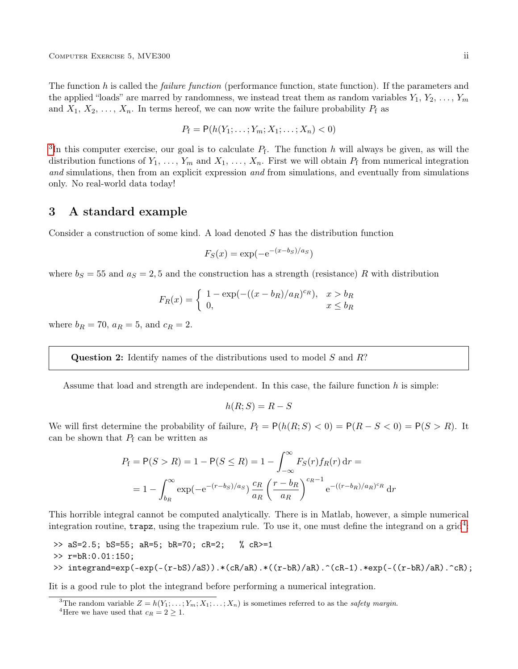The function h is called the *failure function* (performance function, state function). If the parameters and the applied "loads" are marred by randomness, we instead treat them as random variables  $Y_1, Y_2, \ldots, Y_m$ and  $X_1, X_2, \ldots, X_n$ . In terms hereof, we can now write the failure probability  $P_f$  as

$$
P_{\mathbf{f}} = \mathsf{P}(h(Y_1; \ldots; Y_m; X_1; \ldots; X_n) < 0)
$$

<sup>[3](#page-1-0)</sup>In this computer exercise, our goal is to calculate  $P_f$ . The function h will always be given, as will the distribution functions of  $Y_1, \ldots, Y_m$  and  $X_1, \ldots, X_n$ . First we will obtain  $P_f$  from numerical integration and simulations, then from an explicit expression and from simulations, and eventually from simulations only. No real-world data today!

### 3 A standard example

Consider a construction of some kind. A load denoted S has the distribution function

$$
F_S(x) = \exp(-e^{-(x-b_S)/a_S})
$$

where  $b_S = 55$  and  $a_S = 2, 5$  and the construction has a strength (resistance) R with distribution

$$
F_R(x) = \begin{cases} 1 - \exp(-(x - b_R)/a_R)^{c_R}, & x > b_R \\ 0, & x \le b_R \end{cases}
$$

where  $b_R = 70$ ,  $a_R = 5$ , and  $c_R = 2$ .

Question 2: Identify names of the distributions used to model  $S$  and  $R$ ?

Assume that load and strength are independent. In this case, the failure function  $h$  is simple:

$$
h(R;S) = R - S
$$

We will first determine the probability of failure,  $P_f = P(h(R; S) < 0) = P(R - S < 0) = P(S > R)$ . It can be shown that  $P_f$  can be written as

$$
P_{\rm f} = \mathsf{P}(S > R) = 1 - \mathsf{P}(S \le R) = 1 - \int_{-\infty}^{\infty} F_{\rm S}(r) f_{R}(r) dr =
$$
  
= 
$$
1 - \int_{b_R}^{\infty} \exp(-e^{-(r-b_S)/a_S}) \frac{c_R}{a_R} \left(\frac{r-b_R}{a_R}\right)^{c_R-1} e^{-((r-b_R)/a_R)^{c_R}} dr
$$

This horrible integral cannot be computed analytically. There is in Matlab, however, a simple numerical integration routine,  $trapz$ , using the trapezium rule. To use it, one must define the integrand on a grid<sup>[4](#page-1-1)</sup>:

```
>> aS=2.5; bS=55; aR=5; bR=70; cR=2; % cR>=1
>> r=bR:0.01:150;
```
>> integrand=exp(-exp(-(r-bS)/aS)).\*(cR/aR).\*((r-bR)/aR).^(cR-1).\*exp(-((r-bR)/aR).^cR);

Iit is a good rule to plot the integrand before performing a numerical integration.

<span id="page-1-0"></span><sup>&</sup>lt;sup>3</sup>The random variable  $Z = h(Y_1; \ldots; Y_m; X_1; \ldots; X_n)$  is sometimes referred to as the *safety margin*.

<span id="page-1-1"></span><sup>&</sup>lt;sup>4</sup>Here we have used that  $c_R = 2 \geq 1$ .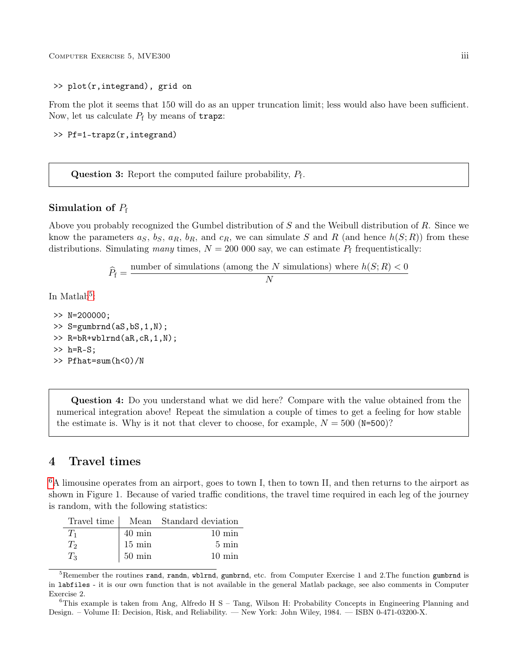COMPUTER EXERCISE 5, MVE300 iii

```
>> plot(r,integrand), grid on
```
From the plot it seems that 150 will do as an upper truncation limit; less would also have been sufficient. Now, let us calculate  $P_f$  by means of trapz:

```
>> Pf=1-trapz(r,integrand)
```
**Question 3:** Report the computed failure probability,  $P_f$ .

#### Simulation of  $P_f$

Above you probably recognized the Gumbel distribution of S and the Weibull distribution of R. Since we know the parameters  $a_S$ ,  $b_S$ ,  $a_R$ ,  $b_R$ , and  $c_R$ , we can simulate S and R (and hence  $h(S; R)$ ) from these distributions. Simulating *many* times,  $N = 200000$  say, we can estimate  $P_f$  frequentistically:

> $\widehat{P}_f = \frac{\text{number of simulations (among the } N \text{ simulations}) \text{ where } h(S; R) < 0}{N}$ N

In Matlab<sup>[5](#page-2-0)</sup>:

 $>> N=200000;$ >> S=gumbrnd(aS,bS,1,N); >> R=bR+wblrnd(aR,cR,1,N);  $>$  h=R-S; >> Pfhat=sum(h<0)/N

Question 4: Do you understand what we did here? Compare with the value obtained from the numerical integration above! Repeat the simulation a couple of times to get a feeling for how stable the estimate is. Why is it not that clever to choose, for example,  $N = 500$  (N=500)?

## 4 Travel times

<sup>[6](#page-2-1)</sup>A limousine operates from an airport, goes to town I, then to town II, and then returns to the airport as shown in Figure 1. Because of varied traffic conditions, the travel time required in each leg of the journey is random, with the following statistics:

| Travel time |                  | Mean Standard deviation |
|-------------|------------------|-------------------------|
| $T_1$       | $40 \text{ min}$ | $10 \text{ min}$        |
| $T_2$       | $15 \text{ min}$ | $5 \text{ min}$         |
| $T_3$       | $50 \text{ min}$ | $10 \text{ min}$        |

<span id="page-2-0"></span> ${}^{5}$ Remember the routines rand, randn, wblrnd, gumbrnd, etc. from Computer Exercise 1 and 2. The function gumbrnd is in labfiles - it is our own function that is not available in the general Matlab package, see also comments in Computer Exercise 2.

<span id="page-2-1"></span> $6$ This example is taken from Ang, Alfredo H S – Tang, Wilson H: Probability Concepts in Engineering Planning and Design. – Volume II: Decision, Risk, and Reliability. — New York: John Wiley, 1984. — ISBN 0-471-03200-X.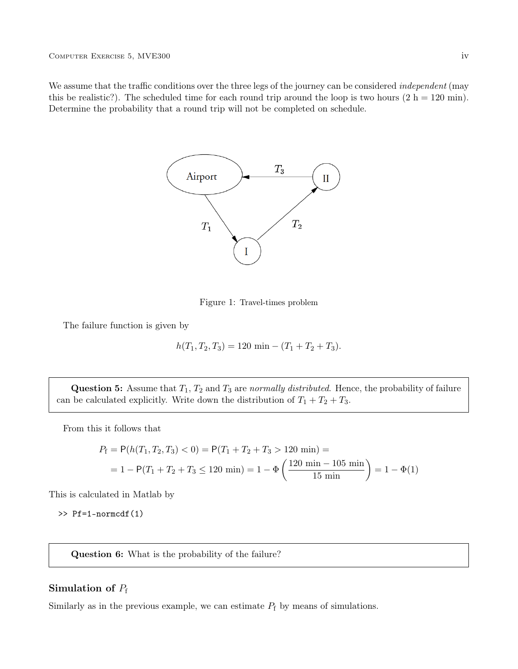We assume that the traffic conditions over the three legs of the journey can be considered *independent* (may this be realistic?). The scheduled time for each round trip around the loop is two hours  $(2 h = 120 \text{ min})$ . Determine the probability that a round trip will not be completed on schedule.



Figure 1: Travel-times problem

The failure function is given by

$$
h(T_1, T_2, T_3) = 120 \text{ min} - (T_1 + T_2 + T_3).
$$

**Question 5:** Assume that  $T_1, T_2$  and  $T_3$  are normally distributed. Hence, the probability of failure can be calculated explicitly. Write down the distribution of  $T_1 + T_2 + T_3$ .

From this it follows that

$$
P_{\rm f} = \mathsf{P}(h(T_1, T_2, T_3) < 0) = \mathsf{P}(T_1 + T_2 + T_3 > 120 \text{ min}) =
$$
\n
$$
= 1 - \mathsf{P}(T_1 + T_2 + T_3 \le 120 \text{ min}) = 1 - \Phi\left(\frac{120 \text{ min} - 105 \text{ min}}{15 \text{ min}}\right) = 1 - \Phi(1)
$$

This is calculated in Matlab by

>> Pf=1-normcdf(1)

Question 6: What is the probability of the failure?

#### Simulation of  $P_f$

Similarly as in the previous example, we can estimate  $P_f$  by means of simulations.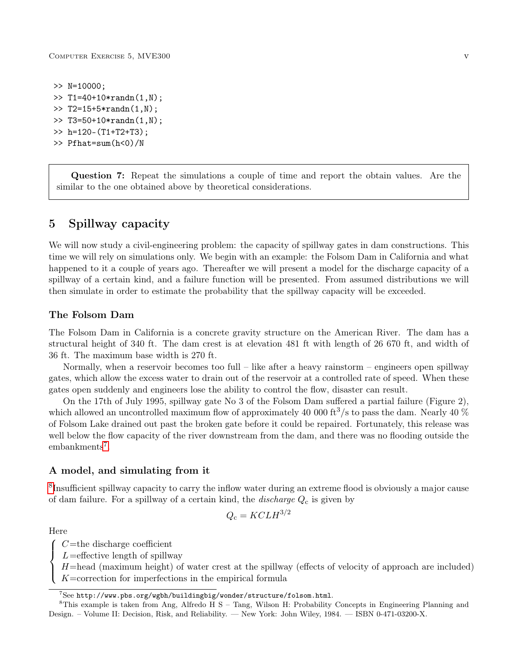COMPUTER EXERCISE 5, MVE300 v

```
>> N=10000;
>> T1=40+10*randn(1,N);
>> T2=15+5*randn(1,N);
>> T3=50+10*randn(1,N);
>> h=120-(T1+T2+T3);
>> Pfhat=sum(h<0)/N
```
Question 7: Repeat the simulations a couple of time and report the obtain values. Are the similar to the one obtained above by theoretical considerations.

## 5 Spillway capacity

We will now study a civil-engineering problem: the capacity of spillway gates in dam constructions. This time we will rely on simulations only. We begin with an example: the Folsom Dam in California and what happened to it a couple of years ago. Thereafter we will present a model for the discharge capacity of a spillway of a certain kind, and a failure function will be presented. From assumed distributions we will then simulate in order to estimate the probability that the spillway capacity will be exceeded.

#### The Folsom Dam

The Folsom Dam in California is a concrete gravity structure on the American River. The dam has a structural height of 340 ft. The dam crest is at elevation 481 ft with length of 26 670 ft, and width of 36 ft. The maximum base width is 270 ft.

Normally, when a reservoir becomes too full – like after a heavy rainstorm – engineers open spillway gates, which allow the excess water to drain out of the reservoir at a controlled rate of speed. When these gates open suddenly and engineers lose the ability to control the flow, disaster can result.

On the 17th of July 1995, spillway gate No 3 of the Folsom Dam suffered a partial failure (Figure 2), which allowed an uncontrolled maximum flow of approximately 40 000 ft<sup>3</sup>/s to pass the dam. Nearly 40  $\%$ of Folsom Lake drained out past the broken gate before it could be repaired. Fortunately, this release was well below the flow capacity of the river downstream from the dam, and there was no flooding outside the embankments<sup>[7](#page-4-0)</sup>.

#### A model, and simulating from it

<sup>[8](#page-4-1)</sup>Insufficient spillway capacity to carry the inflow water during an extreme flood is obviously a major cause of dam failure. For a spillway of a certain kind, the *discharge*  $Q_c$  is given by

$$
Q_{\rm c} = KCLH^{3/2}
$$

Here  $\sqrt{ }$ 

 $\int$ 

 $C$ =the discharge coefficient

 $L =$ effective length of spillway

 $\overline{\mathcal{L}}$  $H$ =head (maximum height) of water crest at the spillway (effects of velocity of approach are included)  $K=$ correction for imperfections in the empirical formula

<span id="page-4-1"></span><span id="page-4-0"></span> $7See$ http://www.pbs.org/wgbh/buildingbig/wonder/structure/folsom.html.

<sup>8</sup>This example is taken from Ang, Alfredo H S – Tang, Wilson H: Probability Concepts in Engineering Planning and Design. – Volume II: Decision, Risk, and Reliability. — New York: John Wiley, 1984. — ISBN 0-471-03200-X.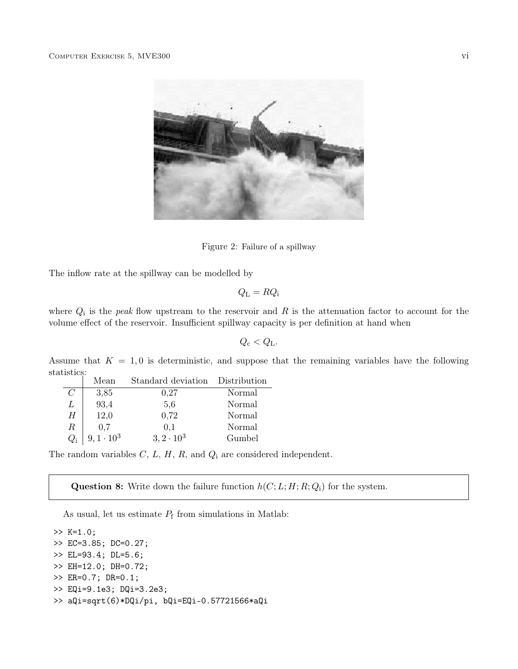

Figure 2: Failure of a spillway

The inflow rate at the spillway can be modelled by

$$
Q_{\rm L}=R Q_{\rm i}
$$

where  $Q_i$  is the *peak* flow upstream to the reservoir and R is the attenuation factor to account for the volume effect of the reservoir. Insufficient spillway capacity is per definition at hand when

$$
Q_{\rm c} < Q_{\rm L}.
$$

Assume that  $K = 1, 0$  is deterministic, and suppose that the remaining variables have the following statistics:

|               | Mean              | Standard deviation Distribution |        |
|---------------|-------------------|---------------------------------|--------|
| $\mathcal{C}$ | 3,85              | 0,27                            | Normal |
| L             | 93,4              | 5,6                             | Normal |
| H             | 12,0              | 0,72                            | Normal |
| $_{\it R}$    | 0.7               | 0,1                             | Normal |
|               | $9, 1 \cdot 10^3$ | $3, 2 \cdot 10^3$               | Gumbel |

The random variables  $C, L, H, R$ , and  $Q_i$  are considered independent.

**Question 8:** Write down the failure function  $h(C; L; H; R; Q<sub>i</sub>)$  for the system.

As usual, let us estimate  $P_f$  from simulations in Matlab:

```
>> K=1.0;>> EC=3.85; DC=0.27;
>> EL=93.4; DL=5.6;
>> EH=12.0; DH=0.72;
>> ER=0.7; DR=0.1;
>> EQi=9.1e3; DQi=3.2e3;
>> aQi=sqrt(6)*DQi/pi, bQi=EQi-0.57721566*aQi
```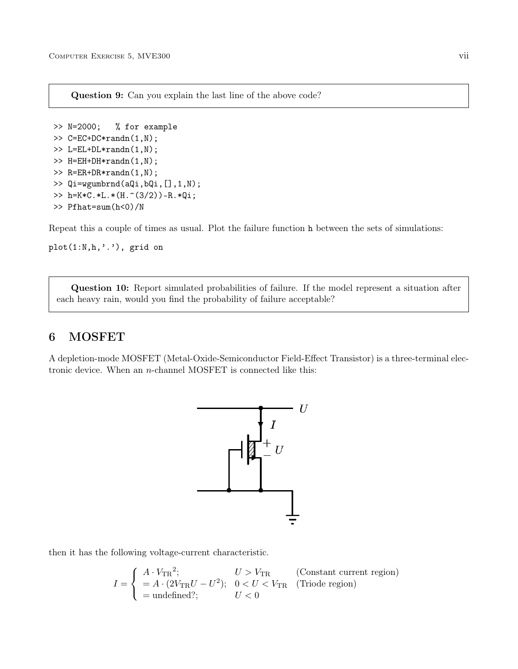Question 9: Can you explain the last line of the above code?

```
>> N=2000; % for example
>> C=EC+DC*randn(1,N);
>> L=EL+DL*randn(1,N);
>> H=EH+DH*randn(1,N);
>> R=ER+DR*randn(1,N);
>> Qi=wgumbrnd(aQi,bQi,[],1,N);
>> h=K*C.*L.*(H.^(3/2))-R.*Qi;
>> Pfhat=sum(h<0)/N
```
Repeat this a couple of times as usual. Plot the failure function h between the sets of simulations:

```
plot(1:N,h,'.'), grid on
```
Question 10: Report simulated probabilities of failure. If the model represent a situation after each heavy rain, would you find the probability of failure acceptable?

# 6 MOSFET

A depletion-mode MOSFET (Metal-Oxide-Semiconductor Field-Effect Transistor) is a three-terminal electronic device. When an n-channel MOSFET is connected like this:



then it has the following voltage-current characteristic.

$$
I = \begin{cases} A \cdot V_{\text{TR}}^2; & U > V_{\text{TR}} \qquad \text{(Constant current region)}\\ = A \cdot (2V_{\text{TR}}U - U^2); & 0 < U < V_{\text{TR}} \qquad \text{(Triode region)}\\ = \text{undefined} ?; & U < 0 \end{cases}
$$